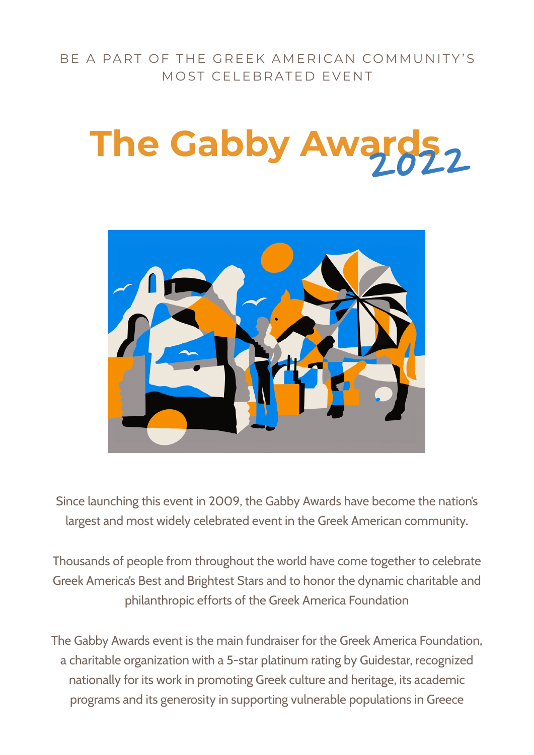BE A PART OF THE GREEK AMERICAN COMMUNITY'S MOST CELEBRATED EVENT

# **The Gabby Awards,**



Since launching this event in 2009, the Gabby Awards have become the nation's largest and most widely celebrated event in the Greek American community.

Thousands of people from throughout the world have come together to celebrate Greek America's Best and Brightest Stars and to honor the dynamic charitable and philanthropic efforts of the Greek America Foundation

The Gabby Awards event is the main fundraiser for the Greek America Foundation, a charitable organization with a 5-star platinum rating by Guidestar, recognized nationally for its work in promoting Greek culture and heritage, its academic programs and its generosity in supporting vulnerable populations in Greece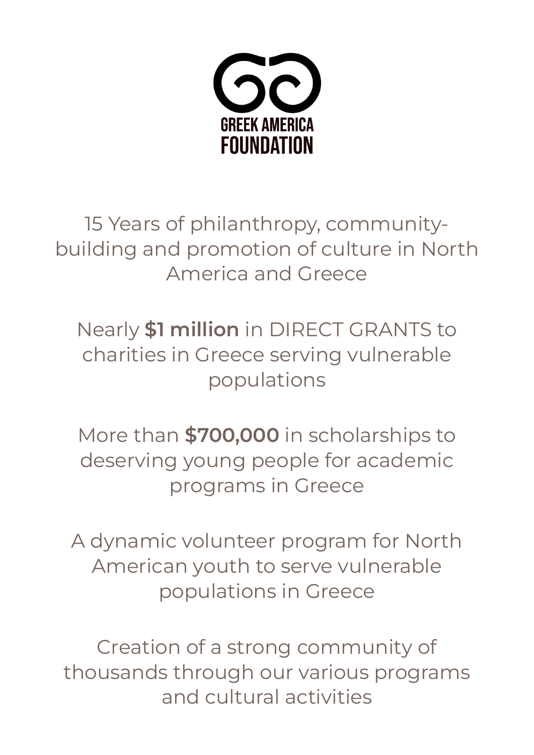

15 Years of philanthropy, communitybuilding and promotion of culture in North America and Greece

Nearly **\$1 million** in DIRECT GRANTS to charities in Greece serving vulnerable populations

More than **\$700,000** in scholarships to deserving young people for academic programs in Greece

A dynamic volunteer program for North American youth to serve vulnerable populations in Greece

Creation of a strong community of thousands through our various programs and cultural activities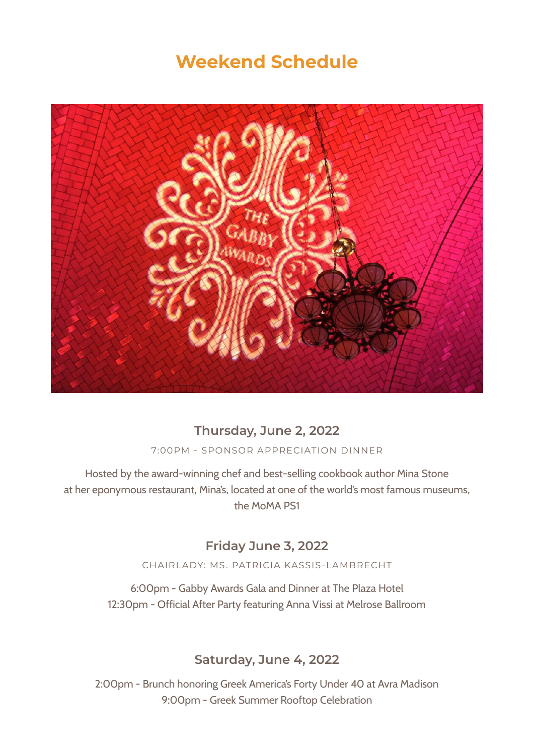### **Weekend Schedule**



#### **Thursday, June 2, 2022**

7:00PM - SPONSOR APPRECIATION DINNER

Hosted by the award-winning chef and best-selling cookbook author Mina Stone at her eponymous restaurant, Mina's, located at one of the world's most famous museums, the MoMA PS1

#### **Friday June 3, 2022**

CHAIRLADY: MS. PATRICIA KASSIS-LAMBRECHT

6:00pm - Gabby Awards Gala and Dinner at The Plaza Hotel 12:30pm - Official After Party featuring Anna Vissi at Melrose Ballroom

#### **Saturday, June 4, 2022**

2:00pm - Brunch honoring Greek America's Forty Under 40 at Avra Madison 9:00pm - Greek Summer Rooftop Celebration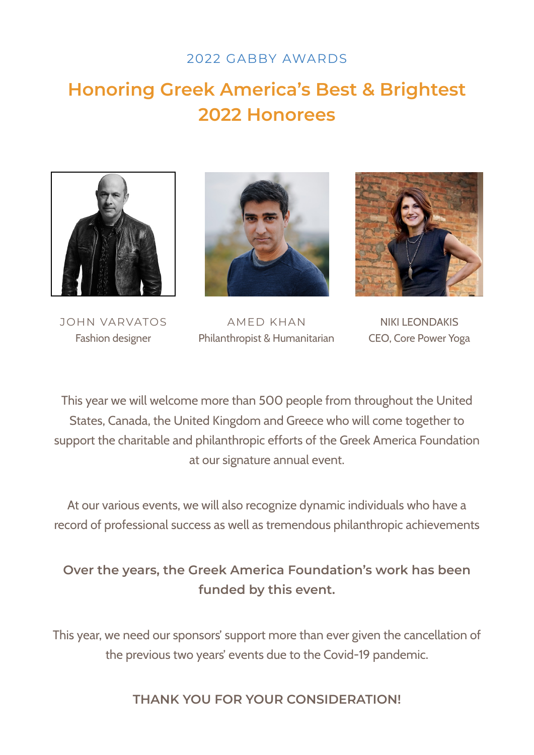#### 2022 GABBY AWARDS

# **Honoring Greek America's Best & Brightest 2022 Honorees**





JOHN VARVATOS Fashion designer

AMED KHAN Philanthropist & Humanitarian



NIKI LEONDAKIS CEO, Core Power Yoga

This year we will welcome more than 500 people from throughout the United States, Canada, the United Kingdom and Greece who will come together to support the charitable and philanthropic efforts of the Greek America Foundation at our signature annual event.

At our various events, we will also recognize dynamic individuals who have a record of professional success as well as tremendous philanthropic achievements

#### **Over the years, the Greek America Foundation's work has been funded by this event.**

This year, we need our sponsors' support more than ever given the cancellation of the previous two years' events due to the Covid-19 pandemic.

**THANK YOU FOR YOUR CONSIDERATION!**